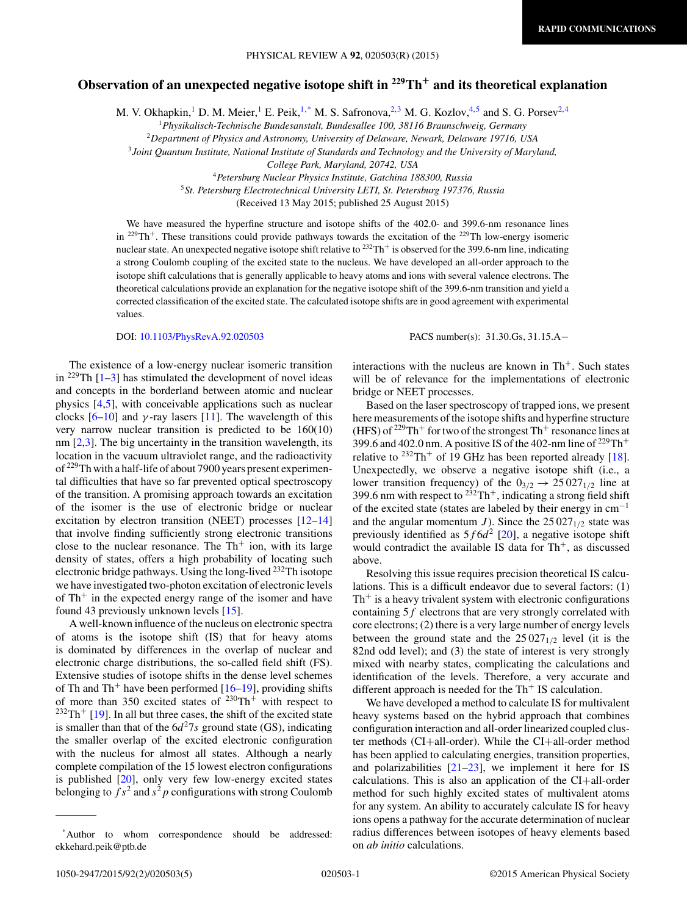# **Observation of an unexpected negative isotope shift in 229Th<sup>+</sup> and its theoretical explanation**

M. V. Okhapkin,<sup>1</sup> D. M. Meier,<sup>1</sup> E. Peik,<sup>1,\*</sup> M. S. Safronova,<sup>2,3</sup> M. G. Kozlov,<sup>4,5</sup> and S. G. Porsev<sup>2,4</sup>

<sup>1</sup>*Physikalisch-Technische Bundesanstalt, Bundesallee 100, 38116 Braunschweig, Germany*

<sup>2</sup>*Department of Physics and Astronomy, University of Delaware, Newark, Delaware 19716, USA*

<sup>3</sup>*Joint Quantum Institute, National Institute of Standards and Technology and the University of Maryland,*

*College Park, Maryland, 20742, USA*

<sup>4</sup>*Petersburg Nuclear Physics Institute, Gatchina 188300, Russia*

<sup>5</sup>*St. Petersburg Electrotechnical University LETI, St. Petersburg 197376, Russia*

(Received 13 May 2015; published 25 August 2015)

We have measured the hyperfine structure and isotope shifts of the 402.0- and 399.6-nm resonance lines in <sup>229</sup>Th<sup>+</sup>. These transitions could provide pathways towards the excitation of the <sup>229</sup>Th low-energy isomeric nuclear state. An unexpected negative isotope shift relative to  $^{232}Th^+$  is observed for the 399.6-nm line, indicating a strong Coulomb coupling of the excited state to the nucleus. We have developed an all-order approach to the isotope shift calculations that is generally applicable to heavy atoms and ions with several valence electrons. The theoretical calculations provide an explanation for the negative isotope shift of the 399.6-nm transition and yield a corrected classification of the excited state. The calculated isotope shifts are in good agreement with experimental values.

DOI: [10.1103/PhysRevA.92.020503](http://dx.doi.org/10.1103/PhysRevA.92.020503) PACS number(s): 31*.*30*.*Gs*,* 31*.*15*.*A−

The existence of a low-energy nuclear isomeric transition in  $^{229}$ Th [\[1–3\]](#page-3-0) has stimulated the development of novel ideas and concepts in the borderland between atomic and nuclear physics [\[4,5\]](#page-3-0), with conceivable applications such as nuclear clocks  $[6–10]$  and  $\gamma$ -ray lasers [\[11\]](#page-3-0). The wavelength of this very narrow nuclear transition is predicted to be 160(10) nm [\[2,3\]](#page-3-0). The big uncertainty in the transition wavelength, its location in the vacuum ultraviolet range, and the radioactivity of <sup>229</sup>Th with a half-life of about 7900 years present experimental difficulties that have so far prevented optical spectroscopy of the transition. A promising approach towards an excitation of the isomer is the use of electronic bridge or nuclear excitation by electron transition (NEET) processes [\[12–14\]](#page-3-0) that involve finding sufficiently strong electronic transitions close to the nuclear resonance. The  $Th<sup>+</sup>$  ion, with its large density of states, offers a high probability of locating such electronic bridge pathways. Using the long-lived 232Th isotope we have investigated two-photon excitation of electronic levels of  $Th<sup>+</sup>$  in the expected energy range of the isomer and have found 43 previously unknown levels [\[15\]](#page-3-0).

A well-known influence of the nucleus on electronic spectra of atoms is the isotope shift (IS) that for heavy atoms is dominated by differences in the overlap of nuclear and electronic charge distributions, the so-called field shift (FS). Extensive studies of isotope shifts in the dense level schemes of Th and Th<sup>+</sup> have been performed  $[16–19]$ , providing shifts of more than 350 excited states of  $230 \text{Th}^+$  with respect to  $232Th$ <sup>+</sup> [\[19\]](#page-3-0). In all but three cases, the shift of the excited state is smaller than that of the  $6d^27s$  ground state (GS), indicating the smaller overlap of the excited electronic configuration with the nucleus for almost all states. Although a nearly complete compilation of the 15 lowest electron configurations is published [\[20\]](#page-3-0), only very few low-energy excited states belonging to  $fs^2$  and  $s^2p$  configurations with strong Coulomb

interactions with the nucleus are known in  $Th<sup>+</sup>$ . Such states will be of relevance for the implementations of electronic bridge or NEET processes.

Based on the laser spectroscopy of trapped ions, we present here measurements of the isotope shifts and hyperfine structure (HFS) of  $2^{29}Th$ <sup>+</sup> for two of the strongest Th<sup>+</sup> resonance lines at 399.6 and 402.0 nm. A positive IS of the 402-nm line of  $^{229}Th+$ relative to  $232 \text{Th}^+$  of 19 GHz has been reported already [\[18\]](#page-3-0). Unexpectedly, we observe a negative isotope shift (i.e., a lower transition frequency) of the  $0_{3/2} \rightarrow 25027_{1/2}$  line at 399.6 nm with respect to  $232$ Th<sup>+</sup>, indicating a strong field shift of the excited state (states are labeled by their energy in  $cm^{-1}$ and the angular momentum *J*). Since the  $25 027_{1/2}$  state was previously identified as  $5f6d^2$  [\[20\]](#page-3-0), a negative isotope shift would contradict the available IS data for  $Th^+$ , as discussed above.

Resolving this issue requires precision theoretical IS calculations. This is a difficult endeavor due to several factors: (1)  $Th<sup>+</sup>$  is a heavy trivalent system with electronic configurations containing 5*f* electrons that are very strongly correlated with core electrons; (2) there is a very large number of energy levels between the ground state and the  $25 027_{1/2}$  level (it is the 82nd odd level); and (3) the state of interest is very strongly mixed with nearby states, complicating the calculations and identification of the levels. Therefore, a very accurate and different approach is needed for the  $Th<sup>+</sup>$  IS calculation.

We have developed a method to calculate IS for multivalent heavy systems based on the hybrid approach that combines configuration interaction and all-order linearized coupled cluster methods (CI+all-order). While the CI+all-order method has been applied to calculating energies, transition properties, and polarizabilities  $[21-23]$  $[21-23]$ , we implement it here for IS calculations. This is also an application of the CI+all-order method for such highly excited states of multivalent atoms for any system. An ability to accurately calculate IS for heavy ions opens a pathway for the accurate determination of nuclear radius differences between isotopes of heavy elements based on *ab initio* calculations.

<sup>\*</sup>Author to whom correspondence should be addressed: ekkehard.peik@ptb.de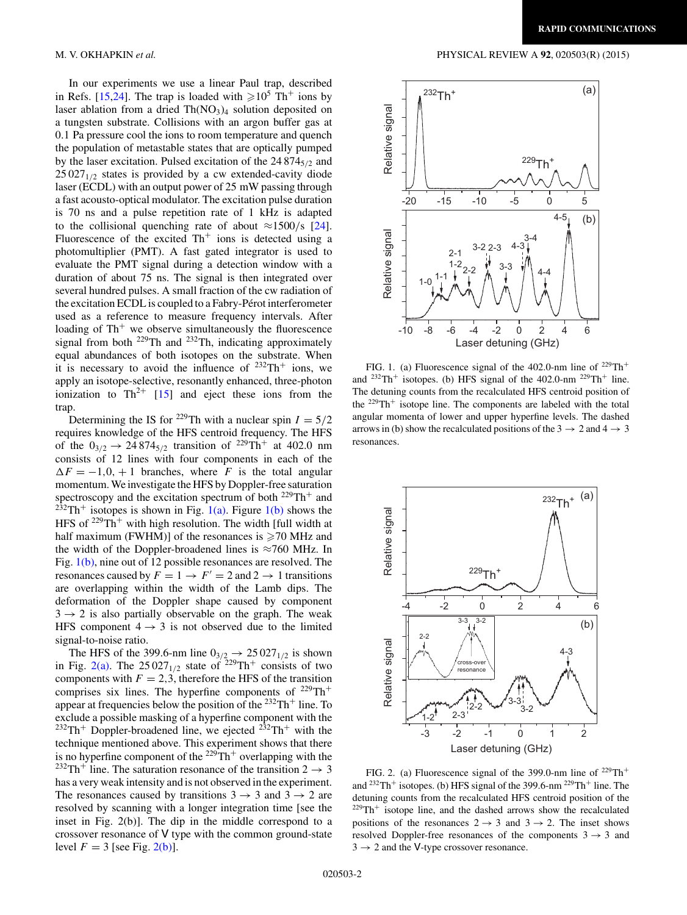In our experiments we use a linear Paul trap, described in Refs. [\[15,](#page-3-0)[24\]](#page-4-0). The trap is loaded with  $\geq 10^5$  Th<sup>+</sup> ions by laser ablation from a dried  $Th(NO<sub>3</sub>)<sub>4</sub>$  solution deposited on a tungsten substrate. Collisions with an argon buffer gas at 0*.*1 Pa pressure cool the ions to room temperature and quench the population of metastable states that are optically pumped by the laser excitation. Pulsed excitation of the 24 8745*/*<sup>2</sup> and  $25027_{1/2}$  states is provided by a cw extended-cavity diode laser (ECDL) with an output power of 25 mW passing through a fast acousto-optical modulator. The excitation pulse duration is 70 ns and a pulse repetition rate of 1 kHz is adapted to the collisional quenching rate of about  $\approx$ 1500/s [\[24\]](#page-4-0). Fluorescence of the excited  $Th<sup>+</sup>$  ions is detected using a photomultiplier (PMT). A fast gated integrator is used to evaluate the PMT signal during a detection window with a duration of about 75 ns. The signal is then integrated over several hundred pulses. A small fraction of the cw radiation of the excitation ECDL is coupled to a Fabry-Pérot interferometer used as a reference to measure frequency intervals. After loading of  $Th<sup>+</sup>$  we observe simultaneously the fluorescence signal from both  $^{229}$ Th and  $^{232}$ Th, indicating approximately equal abundances of both isotopes on the substrate. When it is necessary to avoid the influence of  $232 \text{Th}^+$  ions, we apply an isotope-selective, resonantly enhanced, three-photon ionization to  $\text{Th}^{2+}$  [\[15\]](#page-3-0) and eject these ions from the trap.

Determining the IS for <sup>229</sup>Th with a nuclear spin  $I = 5/2$ requires knowledge of the HFS centroid frequency. The HFS of the  $0_{3/2} \rightarrow 24874_{5/2}$  transition of <sup>229</sup>Th<sup>+</sup> at 402.0 nm consists of 12 lines with four components in each of the  $\Delta F = -1, 0, +1$  branches, where *F* is the total angular momentum.We investigate the HFS by Doppler-free saturation spectroscopy and the excitation spectrum of both <sup>229</sup>Th<sup>+</sup> and  $2\overline{3}$ <sup>23</sup><sup>2</sup>Th<sup>+</sup> isotopes is shown in Fig. 1(a). Figure 1(b) shows the HFS of  $229Th$ <sup>+</sup> with high resolution. The width [full width at half maximum (FWHM)] of the resonances is  $\geq 70$  MHz and the width of the Doppler-broadened lines is  $\approx 760$  MHz. In Fig. 1(b), nine out of 12 possible resonances are resolved. The resonances caused by  $F = 1 \rightarrow F' = 2$  and  $2 \rightarrow 1$  transitions are overlapping within the width of the Lamb dips. The deformation of the Doppler shape caused by component  $3 \rightarrow 2$  is also partially observable on the graph. The weak HFS component  $4 \rightarrow 3$  is not observed due to the limited signal-to-noise ratio.

The HFS of the 399.6-nm line  $0_{3/2} \rightarrow 25.027_{1/2}$  is shown in Fig. 2(a). The  $25027_{1/2}$  state of  $229 \text{Th}^+$  consists of two components with  $F = 2,3$ , therefore the HFS of the transition comprises six lines. The hyperfine components of  $^{229}Th^+$ appear at frequencies below the position of the  $232 \text{Th}^+$  line. To exclude a possible masking of a hyperfine component with the  $232 \text{Th}^+$  Doppler-broadened line, we ejected  $232 \text{Th}^+$  with the technique mentioned above. This experiment shows that there is no hyperfine component of the  $229 \text{Th}^+$  overlapping with the <sup>232</sup>Th<sup>+</sup> line. The saturation resonance of the transition  $2 \rightarrow 3$ has a very weak intensity and is not observed in the experiment. The resonances caused by transitions  $3 \rightarrow 3$  and  $3 \rightarrow 2$  are resolved by scanning with a longer integration time [see the inset in Fig. 2(b)]. The dip in the middle correspond to a crossover resonance of V type with the common ground-state level  $F = 3$  [see Fig. 2(b)].

## <span id="page-1-0"></span>M. V. OKHAPKIN *et al.* PHYSICAL REVIEW A **92**, 020503(R) (2015)



FIG. 1. (a) Fluorescence signal of the 402.0-nm line of  $^{229}Th^+$ and  $232 \text{Th}^+$  isotopes. (b) HFS signal of the 402.0-nm  $229 \text{Th}^+$  line. The detuning counts from the recalculated HFS centroid position of the  $229 \text{Th}^+$  isotope line. The components are labeled with the total angular momenta of lower and upper hyperfine levels. The dashed arrows in (b) show the recalculated positions of the  $3 \rightarrow 2$  and  $4 \rightarrow 3$ resonances.



FIG. 2. (a) Fluorescence signal of the 399.0-nm line of  $229 \text{Th}^+$ and  $^{232}Th^+$  isotopes. (b) HFS signal of the 399.6-nm  $^{229}Th^+$  line. The detuning counts from the recalculated HFS centroid position of the  $229$ Th<sup>+</sup> isotope line, and the dashed arrows show the recalculated positions of the resonances  $2 \rightarrow 3$  and  $3 \rightarrow 2$ . The inset shows resolved Doppler-free resonances of the components  $3 \rightarrow 3$  and  $3 \rightarrow 2$  and the V-type crossover resonance.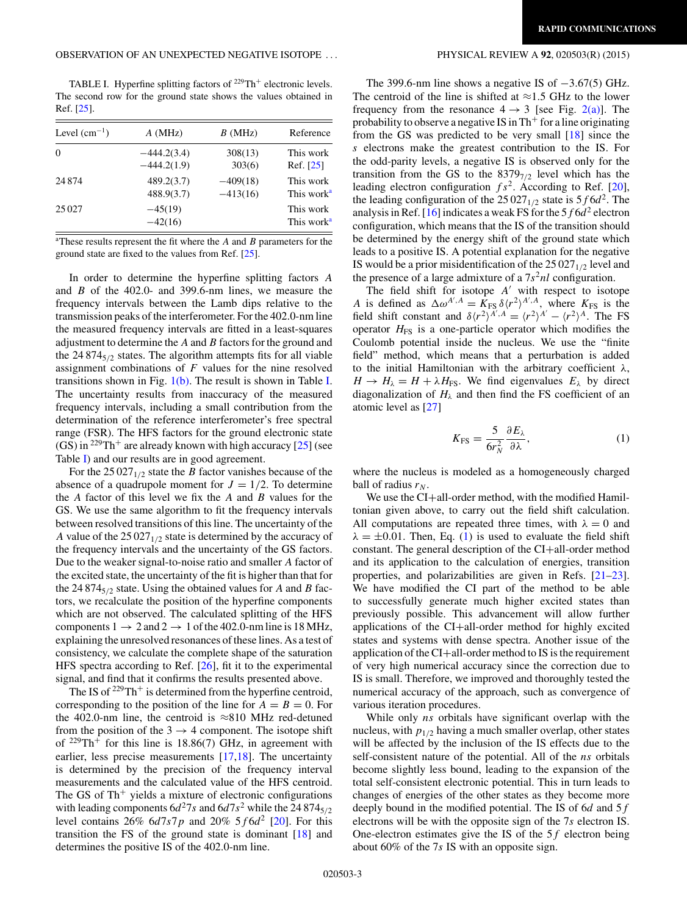TABLE I. Hyperfine splitting factors of <sup>229</sup>Th<sup>+</sup> electronic levels. The second row for the ground state shows the values obtained in Ref. [\[25\]](#page-4-0).

| Level $(cm^{-1})$ | A(MHz)                 | B(MHz)     | Reference                           |
|-------------------|------------------------|------------|-------------------------------------|
| $\theta$          | $-444.2(3.4)$          | 308(13)    | This work                           |
|                   | $-444.2(1.9)$          | 303(6)     | Ref. [25]                           |
| 24874             | 489.2(3.7)             | $-409(18)$ | This work                           |
|                   | 488.9(3.7)             | $-413(16)$ | This work <sup>a</sup>              |
| 25 0 27           | $-45(19)$<br>$-42(16)$ |            | This work<br>This work <sup>a</sup> |

a These results represent the fit where the *A* and *B* parameters for the ground state are fixed to the values from Ref. [\[25\]](#page-4-0).

In order to determine the hyperfine splitting factors *A* and *B* of the 402.0- and 399.6-nm lines, we measure the frequency intervals between the Lamb dips relative to the transmission peaks of the interferometer. For the 402.0-nm line the measured frequency intervals are fitted in a least-squares adjustment to determine the *A* and *B* factors for the ground and the 24 874<sub>5/2</sub> states. The algorithm attempts fits for all viable assignment combinations of *F* values for the nine resolved transitions shown in Fig.  $1(b)$ . The result is shown in Table I. The uncertainty results from inaccuracy of the measured frequency intervals, including a small contribution from the determination of the reference interferometer's free spectral range (FSR). The HFS factors for the ground electronic state (GS) in <sup>229</sup>Th<sup>+</sup> are already known with high accuracy  $[25]$  (see Table I) and our results are in good agreement.

For the  $25027_{1/2}$  state the *B* factor vanishes because of the absence of a quadrupole moment for  $J = 1/2$ . To determine the *A* factor of this level we fix the *A* and *B* values for the GS. We use the same algorithm to fit the frequency intervals between resolved transitions of this line. The uncertainty of the *A* value of the  $25027_{1/2}$  state is determined by the accuracy of the frequency intervals and the uncertainty of the GS factors. Due to the weaker signal-to-noise ratio and smaller *A* factor of the excited state, the uncertainty of the fit is higher than that for the 24 874 $_{5/2}$  state. Using the obtained values for *A* and *B* factors, we recalculate the position of the hyperfine components which are not observed. The calculated splitting of the HFS components  $1 \rightarrow 2$  and  $2 \rightarrow 1$  of the 402.0-nm line is 18 MHz, explaining the unresolved resonances of these lines. As a test of consistency, we calculate the complete shape of the saturation HFS spectra according to Ref. [\[26\]](#page-4-0), fit it to the experimental signal, and find that it confirms the results presented above.

The IS of  $2^{29}Th^+$  is determined from the hyperfine centroid, corresponding to the position of the line for  $A = B = 0$ . For the 402.0-nm line, the centroid is  $\approx$ 810 MHz red-detuned from the position of the  $3 \rightarrow 4$  component. The isotope shift of  $229 \text{Th}^+$  for this line is 18.86(7) GHz, in agreement with earlier, less precise measurements [\[17,18\]](#page-3-0). The uncertainty is determined by the precision of the frequency interval measurements and the calculated value of the HFS centroid. The GS of  $Th<sup>+</sup>$  yields a mixture of electronic configurations with leading components  $6d^27s$  and  $6d7s^2$  while the 24 874 $_{5/2}$ level contains 26% 6*d*7*s*7*p* and 20% 5*f* 6*d*<sup>2</sup> [\[20\]](#page-3-0). For this transition the FS of the ground state is dominant [\[18\]](#page-3-0) and determines the positive IS of the 402.0-nm line.

The 399.6-nm line shows a negative IS of −3*.*67(5) GHz. The centroid of the line is shifted at  $\approx$ 1.5 GHz to the lower frequency from the resonance  $4 \rightarrow 3$  [see Fig. [2\(a\)\]](#page-1-0). The probability to observe a negative IS in  $Th<sup>+</sup>$  for a line originating from the GS was predicted to be very small [\[18\]](#page-3-0) since the *s* electrons make the greatest contribution to the IS. For the odd-parity levels, a negative IS is observed only for the transition from the GS to the 83797*/*<sup>2</sup> level which has the leading electron configuration  $fs^2$ . According to Ref. [\[20\]](#page-3-0), the leading configuration of the  $25027_{1/2}$  state is  $5f6d^2$ . The analysis in Ref. [\[16\]](#page-3-0) indicates a weak FS for the  $5f6d^2$  electron configuration, which means that the IS of the transition should be determined by the energy shift of the ground state which leads to a positive IS. A potential explanation for the negative IS would be a prior misidentification of the  $25 027<sub>1/2</sub>$  level and the presence of a large admixture of a  $7s<sup>2</sup>nl$  configuration.

The field shift for isotope  $A'$  with respect to isotope *A* is defined as  $\Delta \omega^{A',A} = K_{FS} \delta \langle r^2 \rangle^{A',A}$ , where  $K_{FS}$  is the field shift constant and  $\delta \langle r^2 \rangle^{A',A} = \langle r^2 \rangle^{A'} - \langle r^2 \rangle^{A}$ . The FS operator  $H<sub>FS</sub>$  is a one-particle operator which modifies the Coulomb potential inside the nucleus. We use the "finite field" method, which means that a perturbation is added to the initial Hamiltonian with the arbitrary coefficient *λ*,  $H \rightarrow H_{\lambda} = H + \lambda H_{\text{FS}}$ . We find eigenvalues  $E_{\lambda}$  by direct diagonalization of  $H_{\lambda}$  and then find the FS coefficient of an atomic level as [\[27\]](#page-4-0)

$$
K_{\rm FS} = \frac{5}{6r_N^2} \frac{\partial E_\lambda}{\partial \lambda},\tag{1}
$$

where the nucleus is modeled as a homogeneously charged ball of radius  $r_N$ .

We use the CI+all-order method, with the modified Hamiltonian given above, to carry out the field shift calculation. All computations are repeated three times, with  $\lambda = 0$  and  $\lambda = \pm 0.01$ . Then, Eq. (1) is used to evaluate the field shift constant. The general description of the CI+all-order method and its application to the calculation of energies, transition properties, and polarizabilities are given in Refs. [\[21–](#page-3-0)[23\]](#page-4-0). We have modified the CI part of the method to be able to successfully generate much higher excited states than previously possible. This advancement will allow further applications of the CI+all-order method for highly excited states and systems with dense spectra. Another issue of the application of the CI+all-order method to IS is the requirement of very high numerical accuracy since the correction due to IS is small. Therefore, we improved and thoroughly tested the numerical accuracy of the approach, such as convergence of various iteration procedures.

While only *ns* orbitals have significant overlap with the nucleus, with  $p_{1/2}$  having a much smaller overlap, other states will be affected by the inclusion of the IS effects due to the self-consistent nature of the potential. All of the *ns* orbitals become slightly less bound, leading to the expansion of the total self-consistent electronic potential. This in turn leads to changes of energies of the other states as they become more deeply bound in the modified potential. The IS of 6*d* and 5*f* electrons will be with the opposite sign of the 7*s* electron IS. One-electron estimates give the IS of the 5*f* electron being about 60% of the 7*s* IS with an opposite sign.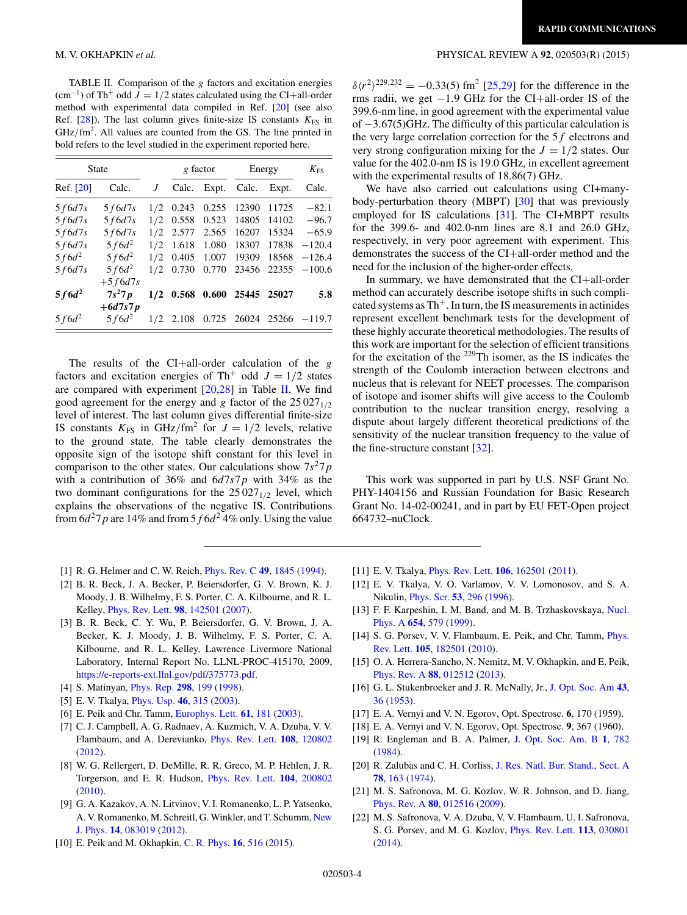TABLE II. Comparison of the *g* factors and excitation energies  $(\text{cm}^{-1})$  of Th<sup>+</sup> odd  $J = 1/2$  states calculated using the CI+all-order method with experimental data compiled in Ref. [20] (see also Ref.  $[28]$ ). The last column gives finite-size IS constants  $K_{FS}$  in GHz/fm<sup>2</sup>. All values are counted from the GS. The line printed in bold refers to the level studied in the experiment reported here.

| <b>State</b> |            |     | g factor          |       | Energy      |             | $K_{FS}$ |  |
|--------------|------------|-----|-------------------|-------|-------------|-------------|----------|--|
| Ref. [20]    | Calc.      | J   | Calc.             | Expt. | Calc.       | Expt.       | Calc.    |  |
| 5f6d7s       | 5f6d7s     | 1/2 | 0.243             | 0.255 | 12390       | 11725       | $-82.1$  |  |
| 5f6d7s       | 5f6d7s     | 1/2 | 0.558             | 0.523 | 14805       | 14102       | $-96.7$  |  |
| 5f6d7s       | 5f6d7s     | 1/2 | 2.577             | 2.565 | 16207       | 15324       | $-65.9$  |  |
| 5f6d7s       | $5f6d^2$   | 1/2 | 1.618             | 1.080 | 18307       | 17838       | $-120.4$ |  |
| $5f6d^2$     | $5f6d^2$   | 1/2 | 0.405             | 1.007 | 19309       | 18568       | $-126.4$ |  |
| 5f6d7s       | $5f6d^2$   | 1/2 | 0.730             | 0.770 | 23456       | 22355       | $-100.6$ |  |
|              | $+5 f6d7s$ |     |                   |       |             |             |          |  |
| $5f6d^2$     | $7s^27p$   |     | $1/2$ 0.568 0.600 |       | 25445 25027 |             | 5.8      |  |
|              | $+6d7s7p$  |     |                   |       |             |             |          |  |
| $5f6d^2$     | $5f6d^2$   |     | $1/2$ 2.108       | 0.725 |             | 26024 25266 | $-119.7$ |  |

The results of the CI+all-order calculation of the *g* factors and excitation energies of Th<sup>+</sup> odd  $J = 1/2$  states are compared with experiment  $[20,28]$  $[20,28]$  in Table II. We find good agreement for the energy and *g* factor of the  $25\,027_{1/2}$ level of interest. The last column gives differential finite-size IS constants  $K_{FS}$  in GHz/fm<sup>2</sup> for  $J = 1/2$  levels, relative to the ground state. The table clearly demonstrates the opposite sign of the isotope shift constant for this level in comparison to the other states. Our calculations show  $7s^27p$ with a contribution of 36% and 6*d*7*s*7*p* with 34% as the two dominant configurations for the  $25027_{1/2}$  level, which explains the observations of the negative IS. Contributions from  $6d^27p$  are 14% and from  $5f6d^24\%$  only. Using the value

- [1] R. G. Helmer and C. W. Reich, [Phys. Rev. C](http://dx.doi.org/10.1103/PhysRevC.49.1845) **[49](http://dx.doi.org/10.1103/PhysRevC.49.1845)**, [1845](http://dx.doi.org/10.1103/PhysRevC.49.1845) [\(1994\)](http://dx.doi.org/10.1103/PhysRevC.49.1845).
- [2] B. R. Beck, J. A. Becker, P. Beiersdorfer, G. V. Brown, K. J. Moody, J. B. Wilhelmy, F. S. Porter, C. A. Kilbourne, and R. L. Kelley, [Phys. Rev. Lett.](http://dx.doi.org/10.1103/PhysRevLett.98.142501) **[98](http://dx.doi.org/10.1103/PhysRevLett.98.142501)**, [142501](http://dx.doi.org/10.1103/PhysRevLett.98.142501) [\(2007\)](http://dx.doi.org/10.1103/PhysRevLett.98.142501).
- [3] B. R. Beck, C. Y. Wu, P. Beiersdorfer, G. V. Brown, J. A. Becker, K. J. Moody, J. B. Wilhelmy, F. S. Porter, C. A. Kilbourne, and R. L. Kelley, Lawrence Livermore National Laboratory, Internal Report No. LLNL-PROC-415170, 2009, [https://e-reports-ext.llnl.gov/pdf/375773.pdf.](https://e-reports-ext.llnl.gov/pdf/375773.pdf)
- [4] S. Matinyan, [Phys. Rep.](http://dx.doi.org/10.1016/S0370-1573(97)00084-7) **[298](http://dx.doi.org/10.1016/S0370-1573(97)00084-7)**, [199](http://dx.doi.org/10.1016/S0370-1573(97)00084-7) [\(1998\)](http://dx.doi.org/10.1016/S0370-1573(97)00084-7).
- [5] E. V. Tkalya, [Phys. Usp.](http://dx.doi.org/10.1070/PU2003v046n03ABEH001379) **[46](http://dx.doi.org/10.1070/PU2003v046n03ABEH001379)**, [315](http://dx.doi.org/10.1070/PU2003v046n03ABEH001379) [\(2003\)](http://dx.doi.org/10.1070/PU2003v046n03ABEH001379).
- [6] E. Peik and Chr. Tamm, [Europhys. Lett.](http://dx.doi.org/10.1209/epl/i2003-00210-x) **[61](http://dx.doi.org/10.1209/epl/i2003-00210-x)**, [181](http://dx.doi.org/10.1209/epl/i2003-00210-x) [\(2003\)](http://dx.doi.org/10.1209/epl/i2003-00210-x).
- [7] C. J. Campbell, A. G. Radnaev, A. Kuzmich, V. A. Dzuba, V. V. Flambaum, and A. Derevianko, [Phys. Rev. Lett.](http://dx.doi.org/10.1103/PhysRevLett.108.120802) **[108](http://dx.doi.org/10.1103/PhysRevLett.108.120802)**, [120802](http://dx.doi.org/10.1103/PhysRevLett.108.120802) [\(2012\)](http://dx.doi.org/10.1103/PhysRevLett.108.120802).
- [8] W. G. Rellergert, D. DeMille, R. R. Greco, M. P. Hehlen, J. R. Torgerson, and E. R. Hudson, [Phys. Rev. Lett.](http://dx.doi.org/10.1103/PhysRevLett.104.200802) **[104](http://dx.doi.org/10.1103/PhysRevLett.104.200802)**, [200802](http://dx.doi.org/10.1103/PhysRevLett.104.200802) [\(2010\)](http://dx.doi.org/10.1103/PhysRevLett.104.200802).
- [9] G. A. Kazakov, A. N. Litvinov, V. I. Romanenko, L. P. Yatsenko, [A. V. Romanenko, M. Schreitl, G.Winkler, and T. Schumm,](http://dx.doi.org/10.1088/1367-2630/14/8/083019) New J. Phys. **[14](http://dx.doi.org/10.1088/1367-2630/14/8/083019)**, [083019](http://dx.doi.org/10.1088/1367-2630/14/8/083019) [\(2012\)](http://dx.doi.org/10.1088/1367-2630/14/8/083019).
- [10] E. Peik and M. Okhapkin, [C. R. Phys.](http://dx.doi.org/10.1016/j.crhy.2015.02.007) **[16](http://dx.doi.org/10.1016/j.crhy.2015.02.007)**, [516](http://dx.doi.org/10.1016/j.crhy.2015.02.007) [\(2015\)](http://dx.doi.org/10.1016/j.crhy.2015.02.007).

### <span id="page-3-0"></span>M. V. OKHAPKIN *et al.* PHYSICAL REVIEW A **92**, 020503(R) (2015)

 $\delta \langle r^2 \rangle^{229,232} = -0.33(5)$  fm<sup>2</sup> [\[25,29\]](#page-4-0) for the difference in the rms radii, we get −1*.*9 GHz for the CI+all-order IS of the 399.6-nm line, in good agreement with the experimental value of −3*.*67(5)GHz. The difficulty of this particular calculation is the very large correlation correction for the 5*f* electrons and very strong configuration mixing for the  $J = 1/2$  states. Our value for the 402.0-nm IS is 19.0 GHz, in excellent agreement with the experimental results of 18.86(7) GHz.

We have also carried out calculations using CI+manybody-perturbation theory (MBPT) [\[30\]](#page-4-0) that was previously employed for IS calculations [\[31\]](#page-4-0). The CI+MBPT results for the 399.6- and 402.0-nm lines are 8.1 and 26.0 GHz, respectively, in very poor agreement with experiment. This demonstrates the success of the CI+all-order method and the need for the inclusion of the higher-order effects.

In summary, we have demonstrated that the CI+all-order method can accurately describe isotope shifts in such complicated systems as  $Th<sup>+</sup>$ . In turn, the IS measurements in actinides represent excellent benchmark tests for the development of these highly accurate theoretical methodologies. The results of this work are important for the selection of efficient transitions for the excitation of the  $229$ Th isomer, as the IS indicates the strength of the Coulomb interaction between electrons and nucleus that is relevant for NEET processes. The comparison of isotope and isomer shifts will give access to the Coulomb contribution to the nuclear transition energy, resolving a dispute about largely different theoretical predictions of the sensitivity of the nuclear transition frequency to the value of the fine-structure constant [\[32\]](#page-4-0).

This work was supported in part by U.S. NSF Grant No. PHY-1404156 and Russian Foundation for Basic Research Grant No. 14-02-00241, and in part by EU FET-Open project 664732–nuClock.

- [11] E. V. Tkalya, [Phys. Rev. Lett.](http://dx.doi.org/10.1103/PhysRevLett.106.162501) **[106](http://dx.doi.org/10.1103/PhysRevLett.106.162501)**, [162501](http://dx.doi.org/10.1103/PhysRevLett.106.162501) [\(2011\)](http://dx.doi.org/10.1103/PhysRevLett.106.162501).
- [12] E. V. Tkalya, V. O. Varlamov, V. V. Lomonosov, and S. A. Nikulin, [Phys. Scr.](http://dx.doi.org/10.1088/0031-8949/53/3/003) **[53](http://dx.doi.org/10.1088/0031-8949/53/3/003)**, [296](http://dx.doi.org/10.1088/0031-8949/53/3/003) [\(1996\)](http://dx.doi.org/10.1088/0031-8949/53/3/003).
- [13] [F. F. Karpeshin, I. M. Band, and M. B. Trzhaskovskaya,](http://dx.doi.org/10.1016/S0375-9474(99)00303-6) Nucl. Phys. A **[654](http://dx.doi.org/10.1016/S0375-9474(99)00303-6)**, [579](http://dx.doi.org/10.1016/S0375-9474(99)00303-6) [\(1999\)](http://dx.doi.org/10.1016/S0375-9474(99)00303-6).
- [14] [S. G. Porsev, V. V. Flambaum, E. Peik, and Chr. Tamm,](http://dx.doi.org/10.1103/PhysRevLett.105.182501) *Phys.* Rev. Lett. **[105](http://dx.doi.org/10.1103/PhysRevLett.105.182501)**, [182501](http://dx.doi.org/10.1103/PhysRevLett.105.182501) [\(2010\)](http://dx.doi.org/10.1103/PhysRevLett.105.182501).
- [15] O. A. Herrera-Sancho, N. Nemitz, M. V. Okhapkin, and E. Peik, [Phys. Rev. A](http://dx.doi.org/10.1103/PhysRevA.88.012512) **[88](http://dx.doi.org/10.1103/PhysRevA.88.012512)**, [012512](http://dx.doi.org/10.1103/PhysRevA.88.012512) [\(2013\)](http://dx.doi.org/10.1103/PhysRevA.88.012512).
- [16] G. L. Stukenbroeker and J. R. McNally, Jr., [J. Opt. Soc. Am](http://dx.doi.org/10.1364/JOSA.43.000036) **[43](http://dx.doi.org/10.1364/JOSA.43.000036)**, [36](http://dx.doi.org/10.1364/JOSA.43.000036) [\(1953\)](http://dx.doi.org/10.1364/JOSA.43.000036).
- [17] E. A. Vernyi and V. N. Egorov, Opt. Spectrosc. **6**, 170 (1959).
- [18] E. A. Vernyi and V. N. Egorov, Opt. Spectrosc. **9**, 367 (1960).
- [19] R. Engleman and B. A. Palmer, [J. Opt. Soc. Am. B](http://dx.doi.org/10.1364/JOSAB.1.000782) **[1](http://dx.doi.org/10.1364/JOSAB.1.000782)**, [782](http://dx.doi.org/10.1364/JOSAB.1.000782) [\(1984\)](http://dx.doi.org/10.1364/JOSAB.1.000782).
- [20] R. Zalubas and C. H. Corliss, [J. Res. Natl. Bur. Stand., Sect. A](http://dx.doi.org/10.6028/jres.078A.014) **[78](http://dx.doi.org/10.6028/jres.078A.014)**, [163](http://dx.doi.org/10.6028/jres.078A.014) [\(1974\)](http://dx.doi.org/10.6028/jres.078A.014).
- [21] M. S. Safronova, M. G. Kozlov, W. R. Johnson, and D. Jiang, [Phys. Rev. A](http://dx.doi.org/10.1103/PhysRevA.80.012516) **[80](http://dx.doi.org/10.1103/PhysRevA.80.012516)**, [012516](http://dx.doi.org/10.1103/PhysRevA.80.012516) [\(2009\)](http://dx.doi.org/10.1103/PhysRevA.80.012516).
- [22] M. S. Safronova, V. A. Dzuba, V. V. Flambaum, U. I. Safronova, S. G. Porsev, and M. G. Kozlov, [Phys. Rev. Lett.](http://dx.doi.org/10.1103/PhysRevLett.113.030801) **[113](http://dx.doi.org/10.1103/PhysRevLett.113.030801)**, [030801](http://dx.doi.org/10.1103/PhysRevLett.113.030801) [\(2014\)](http://dx.doi.org/10.1103/PhysRevLett.113.030801).